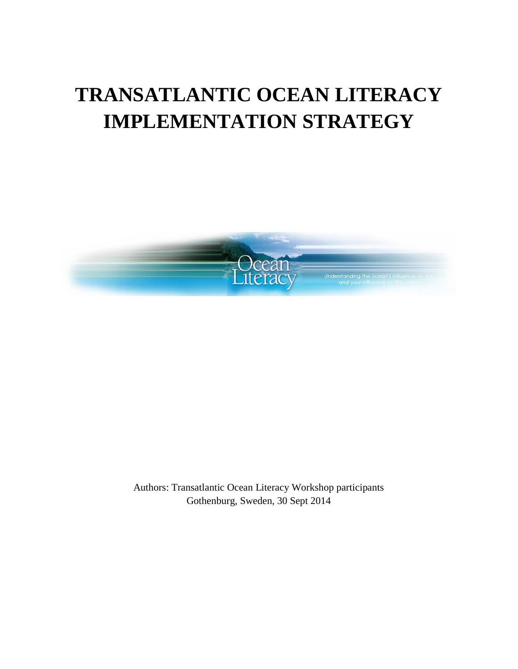# **TRANSATLANTIC OCEAN LITERACY IMPLEMENTATION STRATEGY**



Authors: Transatlantic Ocean Literacy Workshop participants Gothenburg, Sweden, 30 Sept 2014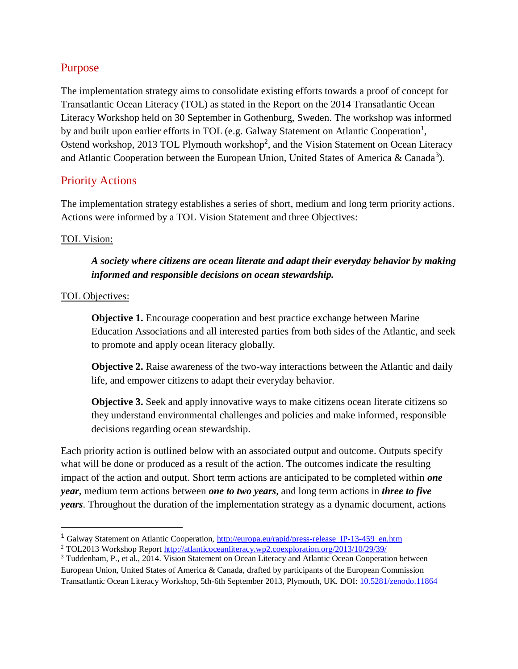## Purpose

The implementation strategy aims to consolidate existing efforts towards a proof of concept for Transatlantic Ocean Literacy (TOL) as stated in the Report on the 2014 Transatlantic Ocean Literacy Workshop held on 30 September in Gothenburg, Sweden. The workshop was informed by and built upon earlier efforts in TOL (e.g. Galway Statement on Atlantic Cooperation<sup>1</sup>, Ostend workshop, 2013 TOL Plymouth workshop<sup>2</sup>, and the Vision Statement on Ocean Literacy and Atlantic Cooperation between the European Union, United States of America & Canada<sup>3</sup>).

## Priority Actions

The implementation strategy establishes a series of short, medium and long term priority actions. Actions were informed by a TOL Vision Statement and three Objectives:

#### TOL Vision:

## *A society where citizens are ocean literate and adapt their everyday behavior by making informed and responsible decisions on ocean stewardship.*

#### TOL Objectives:

 $\overline{a}$ 

**Objective 1.** Encourage cooperation and best practice exchange between Marine Education Associations and all interested parties from both sides of the Atlantic, and seek to promote and apply ocean literacy globally.

**Objective 2.** Raise awareness of the two-way interactions between the Atlantic and daily life, and empower citizens to adapt their everyday behavior.

**Objective 3.** Seek and apply innovative ways to make citizens ocean literate citizens so they understand environmental challenges and policies and make informed, responsible decisions regarding ocean stewardship.

Each priority action is outlined below with an associated output and outcome. Outputs specify what will be done or produced as a result of the action. The outcomes indicate the resulting impact of the action and output. Short term actions are anticipated to be completed within *one year*, medium term actions between *one to two years*, and long term actions in *three to five years*. Throughout the duration of the implementation strategy as a dynamic document, actions

<sup>&</sup>lt;sup>1</sup> Galway Statement on Atlantic Cooperation, http://europa.eu/rapid/press-release IP-13-459 en.htm

<sup>2</sup> TOL2013 Workshop Repor[t http://atlanticoceanliteracy.wp2.coexploration.org/2013/10/29/39/](http://atlanticoceanliteracy.wp2.coexploration.org/2013/10/29/39/)

<sup>3</sup> Tuddenham, P., et al., 2014. Vision Statement on Ocean Literacy and Atlantic Ocean Cooperation between European Union, United States of America & Canada, drafted by participants of the European Commission Transatlantic Ocean Literacy Workshop, 5th-6th September 2013, Plymouth, UK. DOI: [10.5281/zenodo.11864](http://dx.doi.org/10.5281/zenodo.11864)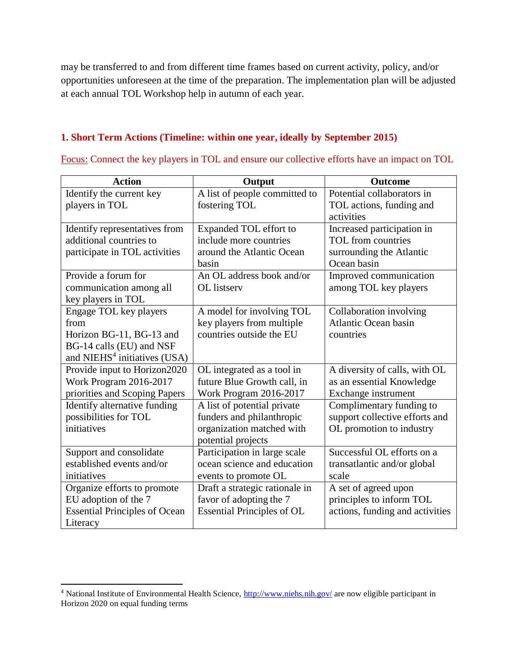may be transferred to and from different time frames based on current activity, policy, and/or opportunities unforeseen at the time of the preparation. The implementation plan will be adjusted at each annual TOL Workshop help in autumn of each year.

#### **1. Short Term Actions (Timeline: within one year, ideally by September 2015)**

Focus: Connect the key players in TOL and ensure our collective efforts have an impact on TOL

| <b>Action</b>                            | Output                            | <b>Outcome</b>                  |
|------------------------------------------|-----------------------------------|---------------------------------|
| Identify the current key                 | A list of people committed to     | Potential collaborators in      |
| players in TOL                           | fostering TOL                     | TOL actions, funding and        |
|                                          |                                   | activities                      |
| Identify representatives from            | Expanded TOL effort to            | Increased participation in      |
| additional countries to                  | include more countries            | TOL from countries              |
| participate in TOL activities            | around the Atlantic Ocean         | surrounding the Atlantic        |
|                                          | basin                             | Ocean basin                     |
| Provide a forum for                      | An OL address book and/or         | Improved communication          |
| communication among all                  | <b>OL</b> listserv                | among TOL key players           |
| key players in TOL                       |                                   |                                 |
| Engage TOL key players                   | A model for involving TOL         | Collaboration involving         |
| from                                     | key players from multiple         | <b>Atlantic Ocean basin</b>     |
| Horizon BG-11, BG-13 and                 | countries outside the EU          | countries                       |
| BG-14 calls (EU) and NSF                 |                                   |                                 |
| and NIEHS <sup>4</sup> initiatives (USA) |                                   |                                 |
| Provide input to Horizon2020             | OL integrated as a tool in        | A diversity of calls, with OL   |
| Work Program 2016-2017                   | future Blue Growth call, in       | as an essential Knowledge       |
| priorities and Scoping Papers            | Work Program 2016-2017            | Exchange instrument             |
| Identify alternative funding             | A list of potential private       | Complimentary funding to        |
| possibilities for TOL                    | funders and philanthropic         | support collective efforts and  |
| initiatives                              | organization matched with         | OL promotion to industry        |
|                                          | potential projects                |                                 |
| Support and consolidate                  | Participation in large scale      | Successful OL efforts on a      |
| established events and/or                | ocean science and education       | transatlantic and/or global     |
| initiatives                              | events to promote OL              | scale                           |
| Organize efforts to promote              | Draft a strategic rationale in    | A set of agreed upon            |
| EU adoption of the 7                     | favor of adopting the 7           | principles to inform TOL        |
| <b>Essential Principles of Ocean</b>     | <b>Essential Principles of OL</b> | actions, funding and activities |
| Literacy                                 |                                   |                                 |

 $\overline{a}$ 

<sup>&</sup>lt;sup>4</sup> National Institute of Environmental Health Science,<http://www.niehs.nih.gov/> are now eligible participant in Horizon 2020 on equal funding terms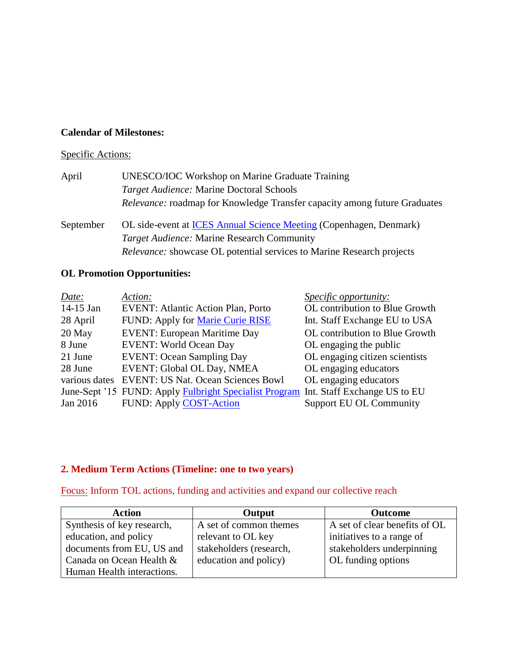#### **Calendar of Milestones:**

#### Specific Actions:

| UNESCO/IOC Workshop on Marine Graduate Training                                  |
|----------------------------------------------------------------------------------|
| <i>Target Audience:</i> Marine Doctoral Schools                                  |
| <i>Relevance:</i> roadmap for Knowledge Transfer capacity among future Graduates |
|                                                                                  |

September OL side-event at **ICES** Annual Science Meeting (Copenhagen, Denmark) *Target Audience:* Marine Research Community *Relevance:* showcase OL potential services to Marine Research projects

#### **OL Promotion Opportunities:**

| Date:         | Action:                                                                             | <i><u><b>Specific opportunity:</b></u></i> |
|---------------|-------------------------------------------------------------------------------------|--------------------------------------------|
| 14-15 Jan     | <b>EVENT: Atlantic Action Plan, Porto</b>                                           | OL contribution to Blue Growth             |
| 28 April      | FUND: Apply for Marie Curie RISE                                                    | Int. Staff Exchange EU to USA              |
| 20 May        | <b>EVENT: European Maritime Day</b>                                                 | OL contribution to Blue Growth             |
| 8 June        | <b>EVENT: World Ocean Day</b>                                                       | OL engaging the public                     |
| 21 June       | <b>EVENT: Ocean Sampling Day</b>                                                    | OL engaging citizen scientists             |
| 28 June       | EVENT: Global OL Day, NMEA                                                          | OL engaging educators                      |
| various dates | <b>EVENT: US Nat. Ocean Sciences Bowl</b>                                           | OL engaging educators                      |
|               | June-Sept '15 FUND: Apply Fulbright Specialist Program Int. Staff Exchange US to EU |                                            |
| Jan 2016      | <b>FUND: Apply COST-Action</b>                                                      | <b>Support EU OL Community</b>             |

#### **2. Medium Term Actions (Timeline: one to two years)**

Focus: Inform TOL actions, funding and activities and expand our collective reach

| <b>Action</b>              | Output                  | <b>Outcome</b>                |
|----------------------------|-------------------------|-------------------------------|
| Synthesis of key research, | A set of common themes  | A set of clear benefits of OL |
| education, and policy      | relevant to OL key      | initiatives to a range of     |
| documents from EU, US and  | stakeholders (research, | stakeholders underpinning     |
| Canada on Ocean Health &   | education and policy)   | OL funding options            |
| Human Health interactions. |                         |                               |